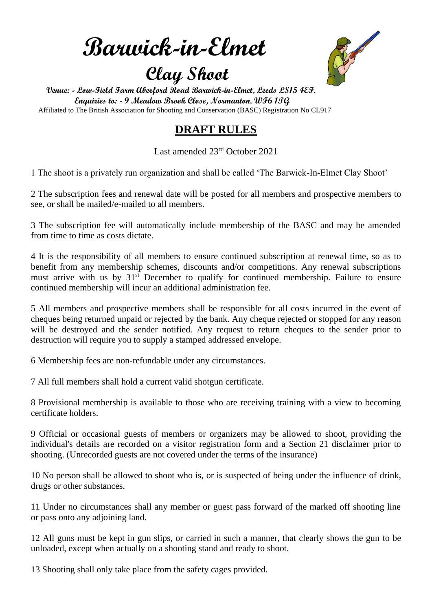**Barwick-in-Elmet**

## **Clay Shoot**



 **Venue: - Low-Field Farm Aberford Road Barwick-in-Elmet, Leeds LS15 4EF. Enquiries to: - 9 Meadow Brook Close, Normanton. WF6 1TG** Affiliated to The British Association for Shooting and Conservation (BASC) Registration No CL917

### **DRAFT RULES**

Last amended 23rd October 2021

1 The shoot is a privately run organization and shall be called 'The Barwick-In-Elmet Clay Shoot'

2 The subscription fees and renewal date will be posted for all members and prospective members to see, or shall be mailed/e-mailed to all members.

3 The subscription fee will automatically include membership of the BASC and may be amended from time to time as costs dictate.

4 It is the responsibility of all members to ensure continued subscription at renewal time, so as to benefit from any membership schemes, discounts and/or competitions. Any renewal subscriptions must arrive with us by  $31<sup>st</sup>$  December to qualify for continued membership. Failure to ensure continued membership will incur an additional administration fee.

5 All members and prospective members shall be responsible for all costs incurred in the event of cheques being returned unpaid or rejected by the bank. Any cheque rejected or stopped for any reason will be destroyed and the sender notified. Any request to return cheques to the sender prior to destruction will require you to supply a stamped addressed envelope.

6 Membership fees are non-refundable under any circumstances.

7 All full members shall hold a current valid shotgun certificate.

8 Provisional membership is available to those who are receiving training with a view to becoming certificate holders.

9 Official or occasional guests of members or organizers may be allowed to shoot, providing the individual's details are recorded on a visitor registration form and a Section 21 disclaimer prior to shooting. (Unrecorded guests are not covered under the terms of the insurance)

10 No person shall be allowed to shoot who is, or is suspected of being under the influence of drink, drugs or other substances.

11 Under no circumstances shall any member or guest pass forward of the marked off shooting line or pass onto any adjoining land.

12 All guns must be kept in gun slips, or carried in such a manner, that clearly shows the gun to be unloaded, except when actually on a shooting stand and ready to shoot.

13 Shooting shall only take place from the safety cages provided.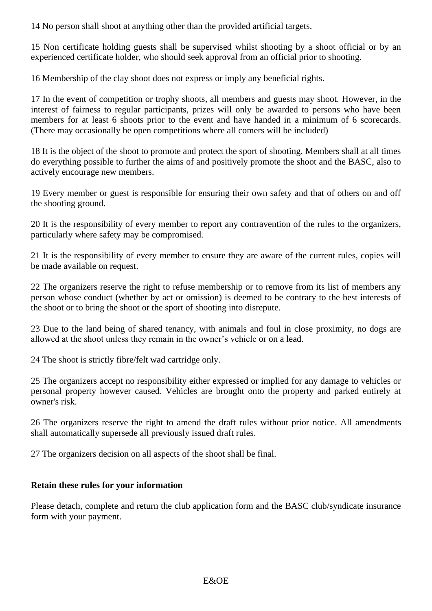14 No person shall shoot at anything other than the provided artificial targets.

15 Non certificate holding guests shall be supervised whilst shooting by a shoot official or by an experienced certificate holder, who should seek approval from an official prior to shooting.

16 Membership of the clay shoot does not express or imply any beneficial rights.

17 In the event of competition or trophy shoots, all members and guests may shoot. However, in the interest of fairness to regular participants, prizes will only be awarded to persons who have been members for at least 6 shoots prior to the event and have handed in a minimum of 6 scorecards. (There may occasionally be open competitions where all comers will be included)

18 It is the object of the shoot to promote and protect the sport of shooting. Members shall at all times do everything possible to further the aims of and positively promote the shoot and the BASC, also to actively encourage new members.

19 Every member or guest is responsible for ensuring their own safety and that of others on and off the shooting ground.

20 It is the responsibility of every member to report any contravention of the rules to the organizers, particularly where safety may be compromised.

21 It is the responsibility of every member to ensure they are aware of the current rules, copies will be made available on request.

22 The organizers reserve the right to refuse membership or to remove from its list of members any person whose conduct (whether by act or omission) is deemed to be contrary to the best interests of the shoot or to bring the shoot or the sport of shooting into disrepute.

23 Due to the land being of shared tenancy, with animals and foul in close proximity, no dogs are allowed at the shoot unless they remain in the owner's vehicle or on a lead.

24 The shoot is strictly fibre/felt wad cartridge only.

25 The organizers accept no responsibility either expressed or implied for any damage to vehicles or personal property however caused. Vehicles are brought onto the property and parked entirely at owner's risk.

26 The organizers reserve the right to amend the draft rules without prior notice. All amendments shall automatically supersede all previously issued draft rules.

27 The organizers decision on all aspects of the shoot shall be final.

#### **Retain these rules for your information**

Please detach, complete and return the club application form and the BASC club/syndicate insurance form with your payment.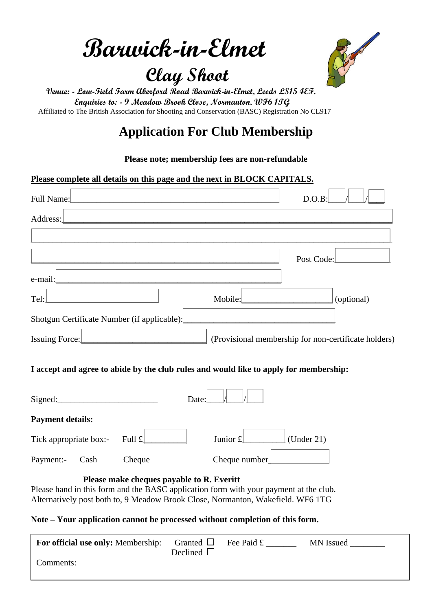**Barwick-in-Elmet**

# **Clay Shoot**



 **Venue: - Low-Field Farm Aberford Road Barwick-in-Elmet, Leeds LS15 4EF. Enquiries to: - 9 Meadow Brook Close, Normanton. WF6 1TG** Affiliated to The British Association for Shooting and Conservation (BASC) Registration No CL917

## **Application For Club Membership**

#### **Please note; membership fees are non-refundable**

#### **Please complete all details on this page and the next in BLOCK CAPITALS.**

| Full Name:                                                                                                                                                                                                            | D.O.B                                                |
|-----------------------------------------------------------------------------------------------------------------------------------------------------------------------------------------------------------------------|------------------------------------------------------|
| Address:                                                                                                                                                                                                              |                                                      |
|                                                                                                                                                                                                                       |                                                      |
|                                                                                                                                                                                                                       | Post Code:                                           |
| e-mail:                                                                                                                                                                                                               |                                                      |
| Tel:<br>Mobile:                                                                                                                                                                                                       | (optional)                                           |
| Shotgun Certificate Number (if applicable):                                                                                                                                                                           |                                                      |
| Issuing Force:                                                                                                                                                                                                        | (Provisional membership for non-certificate holders) |
| I accept and agree to abide by the club rules and would like to apply for membership:                                                                                                                                 |                                                      |
| Signed:<br>Date:                                                                                                                                                                                                      |                                                      |
| <b>Payment details:</b>                                                                                                                                                                                               |                                                      |
| Full $\pounds$<br>Junior $\mathbf{f}$<br>Tick appropriate box:-                                                                                                                                                       | (Under 21)                                           |
| Cheque<br>Cash<br>Cheque number<br>Payment:-                                                                                                                                                                          |                                                      |
| Please make cheques payable to R. Everitt<br>Please hand in this form and the BASC application form with your payment at the club.<br>Alternatively post both to, 9 Meadow Brook Close, Normanton, Wakefield. WF6 1TG |                                                      |

#### **Note – Your application cannot be processed without completion of this form.**

| <b>For official use only: Membership:</b> | Granted $\Box$ Fee Paid £<br>Declined $\Box$ | MN Issued |
|-------------------------------------------|----------------------------------------------|-----------|
| Comments:                                 |                                              |           |